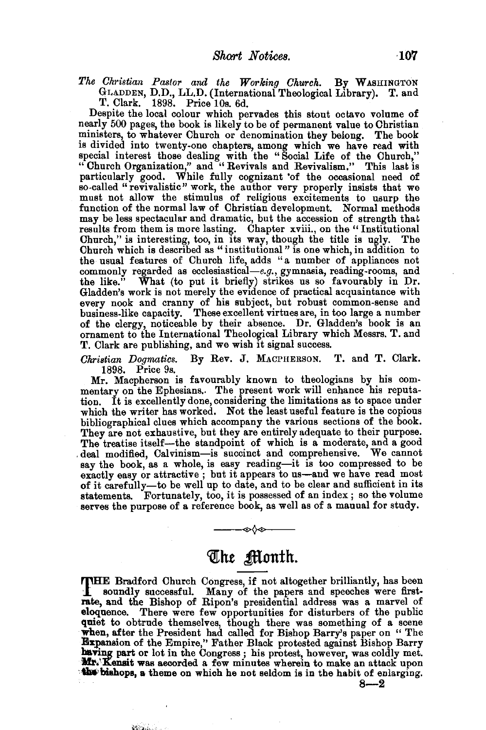*The Ch1·istian Pastor and the Working Church.* By WASHINGTON GLADDEN, D.D., LL.D. (International Theological Library). T. and T. Clark. 1898. Price lOs. 6d.

Despite the local colour which pervades this stout octavo volume of nearly 500 pages, the book is likely to be of permanent value to Christian ministers, to whatever Church or denomination they belong. The book is divided into twenty-one chapters, among which we have read with special interest those dealing with the "Social Life of the Church," "Church Organization," and "Revivals and Revivalism." This last is particularly good. While fully cognizant of the occasional need of so-called "revivalistic" work, the author very properly insists that we must not allow the stimulus of religious excitements to usurp the function of the normal law of Christian development. Normal methods may be less spectacular and dramatic, but the accession of strength that results from them is more lasting. Chapter xviii., on the "Institutional Church," is interesting, too, in its way, though the title is ugly. The Church which is described as "institutional" is one which, in addition to the usual features of Church life, adds "a number of appliances not commonly regarded as ecclesiastical-e.g., gymnasia, reading-rooms, and the like." What (to put it briefly) strikes us so favourably in Dr. Gladden's work is not merely the evidence of practical acquaintance with every nook and cranny of his subject, but robust common-sense and business-like capacity. These excellent virtues are, in too large a number of the clergy, noticeable by their absence. Dr. Gladden's book is an ornament to the International Theological Library which Messrs. T. and T. Clark are publishing, and we wish it signal success.

*Christian Dogrnatics.* By Rev. J. MACPHERSON. T. and T. Clark. 1898. Price 9s.

Mr. Macpherson is favourably known to theologians by his com- mentary on the Ephesians.. The present work will enhance his reputation. It is excellently done, considering the limitations as to space under which the writer has worked. Not the least useful feature is the copious bibliographical clues which accompany the various sections of the book. They are not exhaustive, but they are entirely adequate to their purpose.<br>The treatise itself—the standpoint of which is a moderate, and a good deal modified, Calvinism-is succinct and comprehensive. We cannot say the book, as a whole, is easy reading-it is too compressed to be exactly easy or attractive ; but it appears to us-and we have read most of it carefully-to be well up to date, and to be clear and sufficient in its statements. Fortunately, too, it is possessed of an index; so the volume serves the purpose of a reference book, as well as of a manual for study.

## The Month.

--<!>¢-

THE Bradford Church Congress, if not altogether brilliantly, has been soundly successful. Many of the papers and speeches were firstrate, and the Bishop of Ripon's presidential address was a marvel of eloquence. There were few opportunities for disturbers of the public quiet to obtrude themselves, though there was something of a scene when, after the President had called for Bishop Barry's paper on " The Expansion of the Empire," Father Black protested against Bishop Barry having part or lot in the Congress; his protest, however, was coldly met. Mr. Kensit was aecorded a few minutes wherein to make an attack upon the bishops, a theme on which he not seldom is in the habit of enlarging.

**Marina** 

 $8 - 2$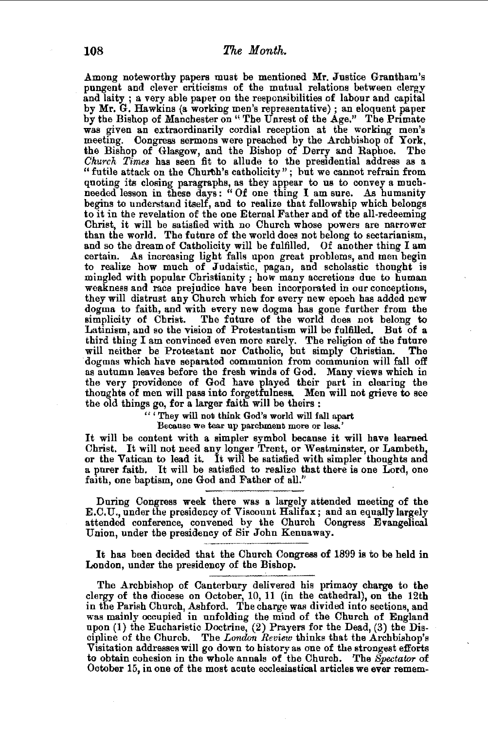.Among noteworthy papers must be mentioned Mr. Justice Grantham's pungent and clever criticisms of the mutual relations between clergy and laity ; a very able paper on the responsibilities of labour and capital by Mr. G. Hawkins (a working men's representative); an eloquent paper by the Bishop of Manchester on "The Unrest of the Age." The Primate was given an extraordinarily cordial reception at the working men's meeting. Congress sermons were preached by the Archbishop of York, the Bishop of Glasgow, and the Bishop of Derry and Raphoe. The *Church Times* has seen fit to allude to the presidential address as a "futile attack on the Church's catholicity"; but we cannot refrain from "futile attack on the Churth's catholicity"; but we cannot refrain from quoting its closing paragraphs, as they appear to us to convey a muchneeded lesson in these days: " Of one thing I am sure. As humanity begins to understand itself, and to realize that fellowship which belongs to it in the revelation of the one Eternal Father and of the all-redeeming Christ, it will be satisfied with no Church whose powers are narrower than the world. The future of the world does not belong to sectarianism, and so the dream of Catholicity will be fulfilled. Of another thing I am certain. As increasing light falls upon great problems, and men begin to realize how much of Judaistic, pagan, and scholastic thought is mingled with popular Christianity ; how many accretions due to human weakness and race prejudice have been incorporated in our conceptions, they will distrust any Church which for every new epoch has added new dogma to faith, and with every new dogma has gone further from the simplicity of Christ. The future of the world does not belong to Latinism, and so the vision of Protestantism will be fulfilled. But of a third thing I am convinced even more surely. The religion of the future will neither be Protestant nor Catholic, but simply Christian. The ·dogmas which have separated communion from communion will fall off as autumn leaves before the fresh winds of God. Many views which in the very providence of God have played their part in clearing the thoughts of men will pass into forgetfulness. Men will not grieve to see the old things go, for a larger faith will be theirs :

" ' They will nob think God's world will fall apart

Because we tear up parchment more or less.'

It will be content with a simpler symbol because it will have learned Christ. It will not need any longer Trent, or Westminster, or Lambeth, or the Vatican to lead it. It will be satisfied with simpler thoughts and<br>a purer faith. It will be satisfied to realize that there is one Lord, one<br>faith, one baptism, one God and Father of all."

During Congress week there was a largely attended meeting of the E.C.U., under the presidency of Viscount Halifax; and an equally largely attended conference, convened by the Church Congress Evangelical Union, under the presidency of Sir John Kennaway.

It has been decided that the Church Congress of 1899 is to be held in London, under the presidency of the Bishop.

The Archbishop of Canterbury delivered his primacy charge to the clergy of the diocese on October, 10, 11 (in the cathedral), on the 12th in the Parish Church, Ashford. The charge was divided into sections, and was mainly occupied in unfolding the mind of the Church of England upon (1) the Eucharistic Doctrine, (2) Prayers for the Dead, (3) the Discipline of the Church. The *London Review* thinks that the Archbishop's Visitation addresses will go down to history as one of the strongest efforts to obtain cohesion in the whole annals of the Church. The *Spectator* of October 15, in one of the most acute ecclesiastical articles we ever remem-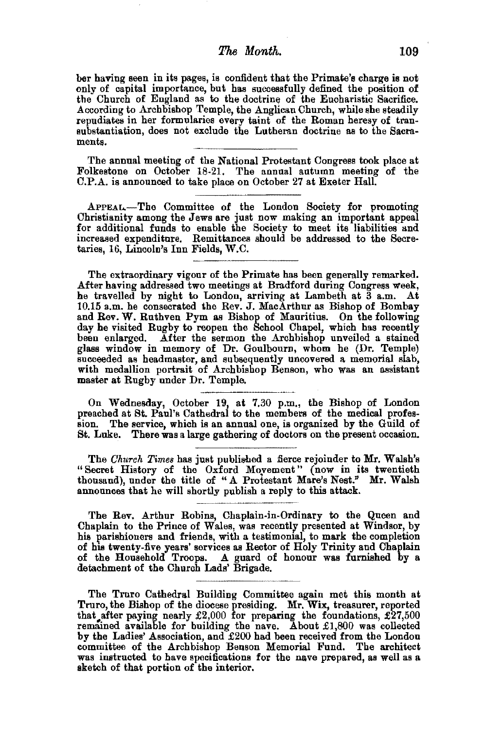## *'Fhe* Month. 109

her having seen in its pages, is confident that the Primate's charge is not only of capital importance, but has successfully defined the position of the Church of England as to the doctrine of the Eucharistic Sacrifice. According to Archbishop Temple, the Anglican Church, while she steadily repudiates in her formularies every taint of the Roman heresy of transubstantiation, does not exclude the Lutheran doctrine as to the Sacraments.

The annual meeting of the National Protestant Congress took place at Folkestone on October 18-21. The annual autumn meeting of the C.P.A. is announced to take place on October 27 at Exeter Hall.

APPEAL.-The Committee of the London Society for promoting Christianity among the Jews are just now making an important appeal for additional funds to enable the Society to meet its liabilities and increased expenditure. Remittances should be addressed to the Secre· taries, 16, Lincoln's Inn Fields, W.C.

The extraordinary vigour of the Primate has been generally remarked. After having addressed two meetings at Bradford during Congress week, he travelled by night to London, arriving at Lambeth at 3 a.m. At 10.15 a.m. he consecrated the Rev. J. MacArthur as Bishop of Bombay and Rev. W. Ruthven Pym as Bishop of Mauritius. On the following day he visited Rugby to reopen the School Chapel, which has recently been enlarged. After the sermon the Archbishop unveiled a stained glass window in memory of Dr. Goulbourn, whom he (Dr. Temple) succeeded as headmaster, and subsequently uncovered a memorial slab, with medallion portrait of Archbishop Benson, who was an assistant master at Rugby under Dr. Temple.

On Wednesday, October 19, at 7.30 p.m., the Bishop of London preached at St. Paul's Cathedral to the members of the medical profession. The service, which is an annual one, is organized by the Guild of St. Luke. There was a large gathering of doctors on the present occasion.

The *Church Times* has just published a fierce rejoinder to Mr. Walsh's "Secret History of the Oxford Movement" (now in its twentieth thousand), under the title of "A Protestant Mare's Nest." Mr. Walsh announces that he will shortly publish a reply to this attack.

The Rev. Arthur Robins, Chaplain-in-Ordinary to the Queen and Chaplain to the Prince of Wales, was recently presented at Windsor, by his parishioners and friends, with a testimonial, to mark the completion of his twenty-five years' services as Rector of Holy Trinity and Chaplain of the Household Troops. A guard of honour was furnished by a detachment of the Church Lads' Brigade.

The Truro Cathedral Building Committee again met this month at Truro, the Bishop of the diocese presiding. Mr. Wix, treasurer, reported that after paying nearly  $\pounds2,000$  for preparing the foundations,  $\pounds27,500$ remained available for building the nave. About £1,800 was collected by the Ladies' Association, and £200 had been received from the London was instructed to have specifications for the nave prepared, as well as a sketch of that portion of the interior.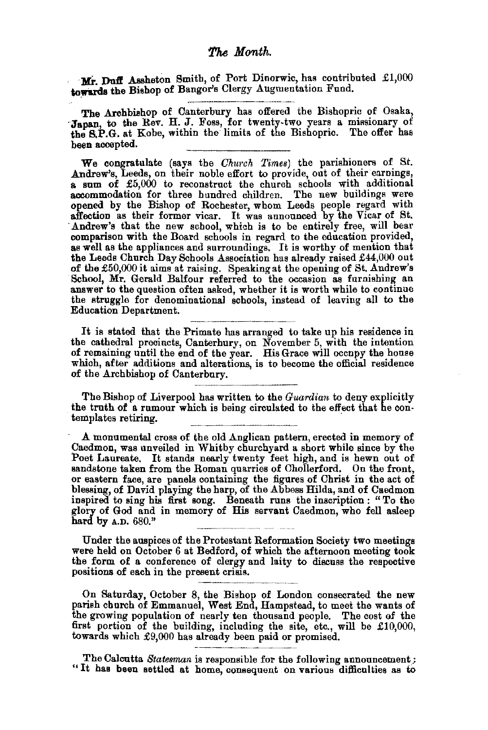Mr. Duff Assheton Smith, of Port Dinorwic, has contributed £1,000 towards the Bishop of Bangor's Clergy Augmentation Fund.

The Archbishop of Canterbury has offered the Bishopric of Osaka, Japan, to the Rev. H. J. Foss, for twenty-two years a missionary of the S.P.G. at Kobe, within the limits of the Bishopric. The offer has been accepted.

We congratulate (says the *Church Times*) the parishioners of St.<br>Andrew's, Leeds, on their noble effort to provide, out of their earnings, a sum of £5,000 to reconstruct the church schools with additional accommodation for three hundred children. The new buildings were accommodation for three hundred children. The new buildings were opened by the Bishop of Rochester, whom Leeds people regard with affection as their former vicar. It was announced by the Vicar of St. Andrew's that the new school, which is to be entirely free, will bear comparison with the Board schools in regard to the education provided, as well as the appliances and surroundings. It is worthy of mention that the Leeds Church Day Schools Association has already raised £44,000 out of the £50,000 it aims at raising. Speaking at the opening of St. Andrew's School, Mr. Gerald Balfour referred to the occasion as furnishing an answer to the question often asked, whether it is worth while to continue the struggle for denominational schools, instead of leaving all to the Education Department.

It is stated that the Primate has arranged to take up his residence in the cathedral precincts, Canterbury, on November 5, with the intention of remaining until the end of the year. His Grace will occupy the house which, after additions and alterations, is to become the official residence of the Archbishop of Canterbury.

~~------------- The Bishop of Liverpool has written to the *Guardian* to deny explicitly the truth of a rumour which is being circulated to the effect that he contemplates retiring.

- A monumental cross of the old Anglican pattern, erected in memory of Caedmon, was unveiled in Whitby churchyard a short while since by the Poet Laureate. It stands nearly twenty feet high, and is hewn out of sandstone taken from the Roman quarries of Chollerford. On the front, or eastern face, are panels containing the figures of Christ in the act of blessing, of David playing the harp, of the Abbess Hilda, and of Caedmon inspired to sing his first song. Beneath runs the inscription : "To the glory of God and in memory of His servant Caedmon, who fell asleep hard by A.D. 680."

Under the auspices of the Protestant Reformation Society two meetings were held on October 6 at Bedford, of which the afternoon meeting took the form of a conference of clergy and laity to discuss the respective positions of each in the present crisis.

On Saturday, October 8, the Bishop of London consecrated the new parish church of Emmanuel, West End, Hampstead, to meet the wants of the growing population of nearly ten thousand people. The cost of the first portion of the building, including the site, etc., will be  $£10,000$ , towards which £9,000 has already been paid or promised.

The Calcutta *Statesman* is responsible for the following announcement; "It has been settled at home, consequent on various difficulties as tO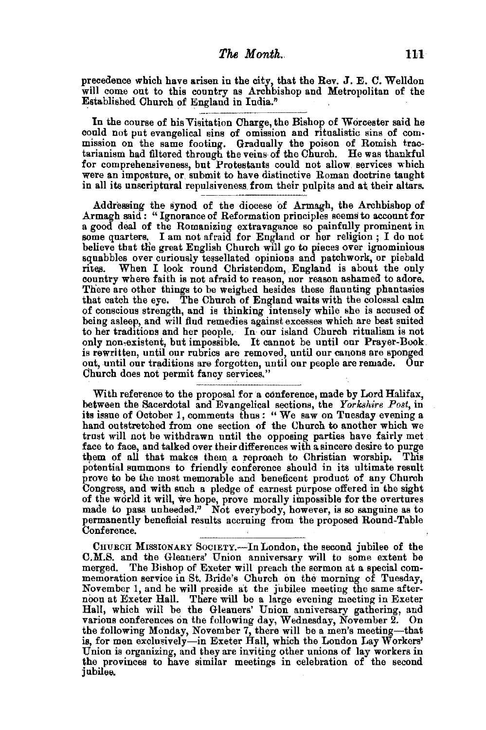precedence which have arisen in the city, that the Rev. J. E. C. Welldon will come out to this country as Archbishop and Metropolitan of the Established Church of England in India."

In the course of his Visitation Charge, the Bishop of Worcester said he could not put evangelical sins of omission and ritualistic sins of commission on the same footing. Gradually the poison of Romish tractarianism had filtered through the veins· of the Church. He was thankful for comprehensiveness, but Protestants could not allow. services which were an imposture, or. submit to have distinctive Roman doctrine taught in all its unscriptnral repulsiveness. from their pulpits and at their altars.

Addressing the synod of the diocese of Armagh, the Archbishop of a good deal of the Romanizing extravagance so painfully prominent in some quarters. I am not afraid for England or her religion ; I do not believe that the great English Church will go to pieces over ignominious squabbles over curiously tessellated opinions and patchwork, or piebald rites. When I look round Christendom, England is about the only country where faith is not afraid to reason, nor reason ashamed to adore. There are other things to be weighed hesides these flaunting phantasies that catch the eye. The Church of England waits with the colossal calm of conscious strength, and is thinking intensely while she is accused of being asleep, and will find remedies against excesses which are best suited to her traditions and her people. In our island Church ritualism is not only non,existent, but impossible. It cannot be until our Prayer-Book. is rewritten, until our rubrics are removed, until our canons are sponged out, until our traditions are forgotten, until our people are remade. Our Church does not permit fancy services."

With reference to the proposal for a conference, made by Lord Halifax, between the Sacerdotal and Evangelical sections, the *Yorkshire Post*, in its issue of October 1, comments thus: "We saw on Tuesday evening a hand outstretched from one section of the Church to another which we trust will not be withdrawn until the opposing parties have fairly met face to face, and talked over their differences with a sincere desire to purge them of all that makes them a reproach to Christian worship. This potential summons to friendly conference should in its ultimate result prove to be the most memorable and beneficent product of any Church Congress, and with such a pledge of earnest purpose offered in the sight of the world it will, we hope, prove morally impossible for the overtures made to pass unheeded." Not everybody, however, is so sanguine as to permanently beneficial results accruing from the proposed Round-Table Conference.

CHURCH MISSIONARY SOCIETY.—In London, the second jubilee of the C.M.S. and the Gleaners' Union anniversary will to some extent be memoration service in St. Bride's Church on the morning of Tuesday, November 1, and he will preside at the jubilee meeting the same after- noon at Exeter HalL There will be a large evening meeting in Exeter Hall, which will be the Gleaners' Union anniversary gathering, and various conferences on the following day, Wednesday, November 2. On the following Monday, November 7, there will be a men's meeting-that ie, for men exclusively-in Exeter Hall, which the London Lay Workers' Union is organizing, and they are inviting other unions of lay workers in the provinces to have similar meetings in celebration of the second jubilee.